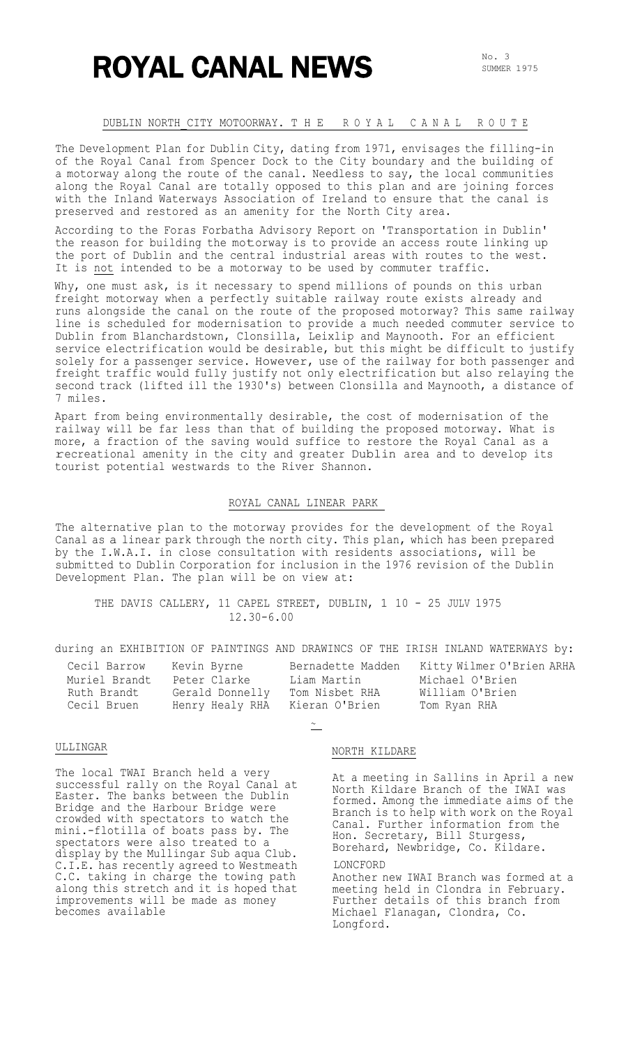# ROYAL CANAL NEWS

#### DUBLIN NORTH\_CITY MOTOORWAY. T H E R O Y A L C A N A L R O U T E

The Development Plan for Dublin City, dating from 1971, envisages the filling-in of the Royal Canal from Spencer Dock to the City boundary and the building of a motorway along the route of the canal. Needless to say, the local communities along the Royal Canal are totally opposed to this plan and are joining forces with the Inland Waterways Association of Ireland to ensure that the canal is preserved and restored as an amenity for the North City area.

According to the Foras Forbatha Advisory Report on 'Transportation in Dublin' the reason for building the motorway is to provide an access route linking up the port of Dublin and the central industrial areas with routes to the west. It is not intended to be a motorway to be used by commuter traffic.

Why, one must ask, is it necessary to spend millions of pounds on this urban freight motorway when a perfectly suitable railway route exists already and runs alongside the canal on the route of the proposed motorway? This same railway line is scheduled for modernisation to provide a much needed commuter service to Dublin from Blanchardstown, Clonsilla, Leixlip and Maynooth. For an efficient service electrification would be desirable, but this might be difficult to justify solely for a passenger service. However, use of the railway for both passenger and freight traffic would fully justify not only electrification but also relaying the second track (lifted ill the 1930's) between Clonsilla and Maynooth, a distance of 7 miles.

Apart from being environmentally desirable, the cost of modernisation of the railway will be far less than that of building the proposed motorway. What is more, a fraction of the saving would suffice to restore the Royal Canal as a recreational amenity in the city and greater Dublin area and to develop its tourist potential westwards to the River Shannon.

### ROYAL CANAL LINEAR PARK

The alternative plan to the motorway provides for the development of the Royal Canal as a linear park through the north city. This plan, which has been prepared by the I.W.A.I. in close consultation with residents associations, will be submitted to Dublin Corporation for inclusion in the 1976 revision of the Dublin Development Plan. The plan will be on view at:

THE DAVIS CALLERY, 11 CAPEL STREET, DUBLIN, 1 10 - 25 JULV 1975 12.30-6.00

#### during an EXHIBITION OF PAINTINGS AND DRAWINCS OF THE IRISH INLAND WATERWAYS by:

| Cecil Barrow  | Kevin Byrne     | Bernadette Madden | Kitty Wilmer O'Brien ARHA |
|---------------|-----------------|-------------------|---------------------------|
| Muriel Brandt | Peter Clarke    | Liam Martin       | Michael O'Brien           |
| Ruth Brandt   | Gerald Donnelly | Tom Nisbet RHA    | William O'Brien           |
| Cecil Bruen   | Henry Healy RHA | Kieran O'Brien    | Tom Ryan RHA              |

 $\sim$   $\overline{\phantom{0}}$ 

#### ULLINGAR

The local TWAI Branch held a very successful rally on the Royal Canal at Easter. The banks between the Dublin Bridge and the Harbour Bridge were crowded with spectators to watch the mini.-flotilla of boats pass by. The spectators were also treated to a display by the Mullingar Sub aqua Club. C.I.E. has recently agreed to Westmeath C.C. taking in charge the towing path along this stretch and it is hoped that improvements will be made as money becomes available

#### NORTH KILDARE

At a meeting in Sallins in April a new North Kildare Branch of the IWAI was formed. Among the immediate aims of the Branch is to help with work on the Royal Canal. Further information from the Hon. Secretary, Bill Sturgess, Borehard, Newbridge, Co. Kildare.

#### LONCFORD

Another new IWAI Branch was formed at a meeting held in Clondra in February. Further details of this branch from Michael Flanagan, Clondra, Co. Longford.